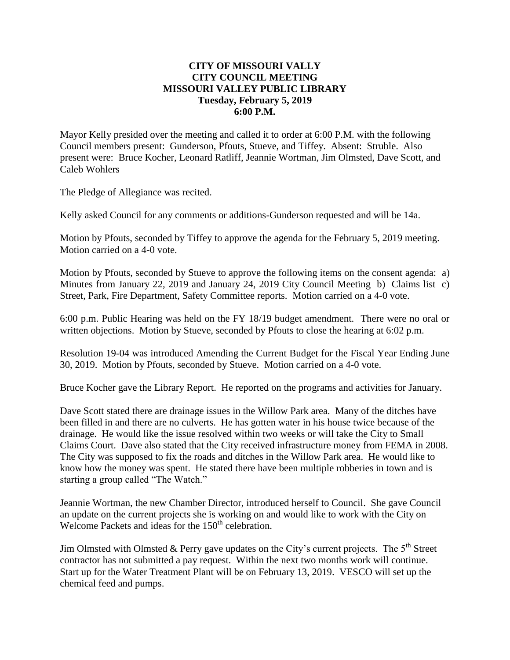## **CITY OF MISSOURI VALLY CITY COUNCIL MEETING MISSOURI VALLEY PUBLIC LIBRARY Tuesday, February 5, 2019 6:00 P.M.**

Mayor Kelly presided over the meeting and called it to order at 6:00 P.M. with the following Council members present: Gunderson, Pfouts, Stueve, and Tiffey. Absent: Struble. Also present were: Bruce Kocher, Leonard Ratliff, Jeannie Wortman, Jim Olmsted, Dave Scott, and Caleb Wohlers

The Pledge of Allegiance was recited.

Kelly asked Council for any comments or additions-Gunderson requested and will be 14a.

Motion by Pfouts, seconded by Tiffey to approve the agenda for the February 5, 2019 meeting. Motion carried on a 4-0 vote.

Motion by Pfouts, seconded by Stueve to approve the following items on the consent agenda: a) Minutes from January 22, 2019 and January 24, 2019 City Council Meeting b) Claims list c) Street, Park, Fire Department, Safety Committee reports. Motion carried on a 4-0 vote.

6:00 p.m. Public Hearing was held on the FY 18/19 budget amendment. There were no oral or written objections. Motion by Stueve, seconded by Pfouts to close the hearing at 6:02 p.m.

Resolution 19-04 was introduced Amending the Current Budget for the Fiscal Year Ending June 30, 2019. Motion by Pfouts, seconded by Stueve. Motion carried on a 4-0 vote.

Bruce Kocher gave the Library Report. He reported on the programs and activities for January.

Dave Scott stated there are drainage issues in the Willow Park area. Many of the ditches have been filled in and there are no culverts. He has gotten water in his house twice because of the drainage. He would like the issue resolved within two weeks or will take the City to Small Claims Court. Dave also stated that the City received infrastructure money from FEMA in 2008. The City was supposed to fix the roads and ditches in the Willow Park area. He would like to know how the money was spent. He stated there have been multiple robberies in town and is starting a group called "The Watch."

Jeannie Wortman, the new Chamber Director, introduced herself to Council. She gave Council an update on the current projects she is working on and would like to work with the City on Welcome Packets and ideas for the 150<sup>th</sup> celebration.

Jim Olmsted with Olmsted & Perry gave updates on the City's current projects. The  $5<sup>th</sup>$  Street contractor has not submitted a pay request. Within the next two months work will continue. Start up for the Water Treatment Plant will be on February 13, 2019. VESCO will set up the chemical feed and pumps.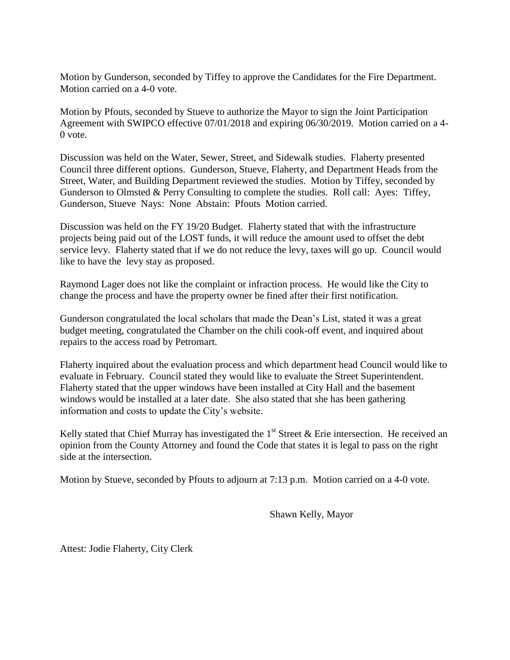Motion by Gunderson, seconded by Tiffey to approve the Candidates for the Fire Department. Motion carried on a 4-0 vote.

Motion by Pfouts, seconded by Stueve to authorize the Mayor to sign the Joint Participation Agreement with SWIPCO effective 07/01/2018 and expiring 06/30/2019. Motion carried on a 4- 0 vote.

Discussion was held on the Water, Sewer, Street, and Sidewalk studies. Flaherty presented Council three different options. Gunderson, Stueve, Flaherty, and Department Heads from the Street, Water, and Building Department reviewed the studies. Motion by Tiffey, seconded by Gunderson to Olmsted & Perry Consulting to complete the studies. Roll call: Ayes: Tiffey, Gunderson, Stueve Nays: None Abstain: Pfouts Motion carried.

Discussion was held on the FY 19/20 Budget. Flaherty stated that with the infrastructure projects being paid out of the LOST funds, it will reduce the amount used to offset the debt service levy. Flaherty stated that if we do not reduce the levy, taxes will go up. Council would like to have the levy stay as proposed.

Raymond Lager does not like the complaint or infraction process. He would like the City to change the process and have the property owner be fined after their first notification.

Gunderson congratulated the local scholars that made the Dean's List, stated it was a great budget meeting, congratulated the Chamber on the chili cook-off event, and inquired about repairs to the access road by Petromart.

Flaherty inquired about the evaluation process and which department head Council would like to evaluate in February. Council stated they would like to evaluate the Street Superintendent. Flaherty stated that the upper windows have been installed at City Hall and the basement windows would be installed at a later date. She also stated that she has been gathering information and costs to update the City's website.

Kelly stated that Chief Murray has investigated the  $1<sup>st</sup>$  Street & Erie intersection. He received an opinion from the County Attorney and found the Code that states it is legal to pass on the right side at the intersection.

Motion by Stueve, seconded by Pfouts to adjourn at 7:13 p.m. Motion carried on a 4-0 vote.

Shawn Kelly, Mayor

Attest: Jodie Flaherty, City Clerk